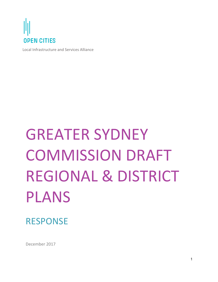

Local Infrastructure and Services Alliance

# **GREATER SYDNEY** COMMISSION DRAFT REGIONAL & DISTRICT PLANS

RESPONSE

December 2017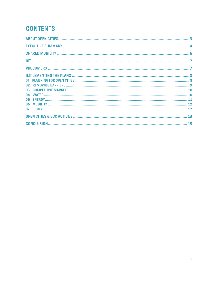# **CONTENTS**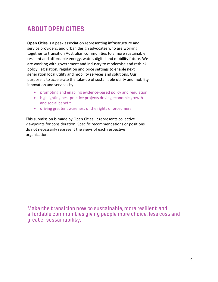# **ABOUT OPEN CITIES**

**Open Cities** is a peak association representing infrastructure and service providers, and urban design advocates who are working together to transition Australian communities to a more sustainable, resilient and affordable energy, water, digital and mobility future. We are working with government and industry to modernise and rethink policy, legislation, regulation and price settings to enable next generation local utility and mobility services and solutions. Our purpose is to accelerate the take-up of sustainable utility and mobility innovation and services by:

- promoting and enabling evidence-based policy and regulation
- highlighting best practice projects driving economic growth and social benefit
- driving greater awareness of the rights of prosumers

This submission is made by Open Cities. It represents collective viewpoints for consideration. Specific recommendations or positions do not necessarily represent the views of each respective organization.

Make the transition now to sustainable, more resilient and affordable communities giving people more choice, less cost and greater sustainability.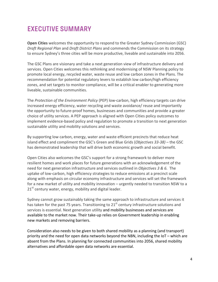# **EXECUTIVE SUMMARY**

**Open Cities** welcomes the opportunity to respond to the Greater Sydney Commission (GSC) *Draft Regional Plan* and *Draft District Plans* and commends the Commission on its strategy to ensure Sydney's three cities will be more productive, liveable and sustainable into 2056.

The GSC Plans are visionary and take a next generation view of infrastructure delivery and services. Open Cities welcomes this rethinking and modernising of NSW Planning policy to promote local energy, recycled water, waste reuse and low carbon zones in the Plans. The recommendation for potential regulatory levers to establish low carbon/high efficiency zones, and set targets to monitor compliance, will be a critical enabler to generating more liveable, sustainable communities.

The *Protection of the Environment Policy* (PEP) low-carbon, high efficiency targets can drive increased energy efficiency, water recycling and waste avoidance/ reuse and importantly the opportunity to future-proof homes, businesses and communities and provide a greater choice of utility services. A PEP approach is aligned with Open Cities policy outcomes to implement evidence-based policy and regulation to promote a transition to next generation sustainable utility and mobility solutions and services.

By supporting low carbon, energy, water and waste efficient precincts that reduce heat island effect and compliment the GSC's Green and Blue Grids (*Objectives 33-38*) – the GSC has demonstrated leadership that will drive both economic growth and social benefit.

Open Cities also welcomes the GSC's support for a strong framework to deliver more resilient homes and work places for future generations with an acknowledgement of the need for next generation infrastructure and services outlined in *Objectives* 3 & 6. The uptake of low-carbon, high efficiency strategies to reduce emissions at a precinct scale along with emphasis on circular economy infrastructure and services will set the framework for a new market of utility and mobility innovation – urgently needed to transition NSW to a  $21<sup>st</sup>$  century water, energy, mobility and digital leader.

Sydney cannot grow sustainably taking the same approach to infrastructure and services it has taken for the past 75 years. Transitioning to  $21<sup>st</sup>$  century infrastructure solutions and services is essential. Next generation utility and mobility businesses and services are available to the market now. Their take-up relies on Government leadership in enabling new markets and removing barriers.

Consideration also needs to be given to both shared mobility as a planning (and transport) priority and the need for open data networks beyond the NBN, including the  $I$ oT – which are absent from the Plans. In planning for connected communities into 2056, shared mobility alternatives and affordable open data networks are essential.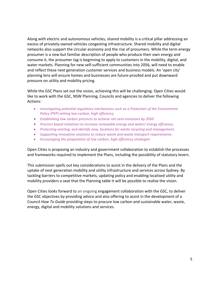Along with electric and autonomous vehicles, shared mobility is a critical pillar addressing an excess of privately-owned vehicles congesting infrastructure. Shared mobility and digital networks also support the circular economy and the rise of prosumers. While the term energy prosumer is a new but familiar description of people who produce their own energy and consume it, the prosumer tag is beginning to apply to customers in the mobility, digital, and water markets. Planning for new self-sufficient communities into 2056, will need to enable and reflect these next generation customer services and business models. An 'open city' planning lens will ensure homes and businesses are future-proofed and put downward pressure on utility and mobility pricing.

While the GSC Plans set out the vision, achieving this will be challenging. Open Cities would like to work with the GSC, NSW Planning, Councils and agencies to deliver the following Actions:

- Investigating potential regulatory mechanisms such as a Protection of the Environment *Policy* (PEP) setting low-carbon, high efficiency
- Establishing low carbon precincts to achieve net-zero emissions by 2050
- Precinct based initiatives to increase renewable energy and water/ energy efficiency
- Protecting existing, and identify new, locations for waste recycling and management.
- Supporting *innovative solutions* to reduce waste and waste transport requirements.
- Encouraging the preparation of low-carbon, high efficiency strategies

Open Cities is proposing an industry and government collaboration to establish the processes and frameworks required to implement the Plans, including the possibility of statutory levers.

This submission spells out key considerations to assist in the delivery of the Plans and the uptake of next generation mobility and utility infrastructure and services across Sydney. By tackling barriers to competitive markets, updating policy and enabling localised utility and mobility providers a seat that the Planning table it will be possible to realise the vision.

Open Cities looks forward to an ongoing engagement collaboration with the GSC, to deliver the GSC objectives by providing advice and also offering to assist in the development of a Council *How To Guide* providing steps to procure low carbon and sustainable water, waste, energy, digital and mobility solutions and services.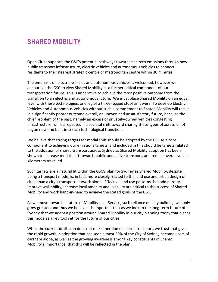# **SHARED MOBILITY**

Open Cities supports the GSC's potential pathways towards net-zero emissions through new public transport infrastructure, electric vehicles and autonomous vehicles to connect residents to their nearest strategic centre or metropolitan centre within 30 minutes.

The emphasis on electric vehicles and autonomous vehicles is welcomed, however we encourage the GSC to view Shared Mobility as a further critical component of our transportation future. This is imperative to achieve the most positive outcome from the transition to an electric and autonomous future. We must place Shared Mobility on an equal level with these technologies, one leg of a three-legged stool as it were. To develop Electric Vehicles and Autonomous Vehicles without such a commitment to Shared Mobility will result in a significantly poorer outcome overall, an uneven and unsatisfactory future, because the chief problem of the past, namely an excess of privately-owned vehicles congesting infrastructure, will be repeated if a societal shift toward sharing these types of assets is not begun now and built into such technological transition.

We believe that strong targets for modal shift should be adopted by the GSC as a core component to achieving our emissions targets, and included in this should be targets related to the adoption of shared transport across Sydney as Shared Mobility adoption has been shown to increase modal shift towards public and active transport, and reduce overall vehicle kilometers travelled.

Such targets are a natural fit within the GSC's plan for Sydney as Shared Mobility, despite being a transport mode, is, in fact, more closely related to the land use and urban design of cities than a city's transport network alone. Effective land use patterns that add density, improve walkability, increase local amenity and livability are critical to the success of Shared Mobility and work hand-in-hand to achieve the stated goals of the GSC.

As we move towards a future of Mobility-as-a-Service, such reliance on 'city building' will only grow greater, and thus we believe it is important that as we look to the long-term future of Sydney that we adopt a position around Shared Mobility in our city planning today that places this mode as a key tool set for the future of our cities.

While the current draft plan does not make mention of shared transport, we trust that given the rapid growth in adoption that has seen almost 20% of the City of Sydney become users of carshare alone, as well as the growing awareness among key constituents of Shared Mobility's importance, that this will be reflected in the plan.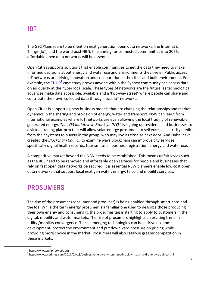## **IOT**

The GSC Plans seem to be silent on next generation open data networks, the Internet of Things (IoT) and the world post NBN. In planning for connected communities into 2056, affordable open data networks will be essential.

Open Cities supports solutions that enable communities to get the data they need to make informed decisions about energy and water use and environments they live in. Public access IoT networks are driving innovation and collaboration in the cities and built environment. For example, the  $TULIP<sup>1</sup>$  case study proves anyone within the Sydney community can access data on air quality at the hyper local scale. These types of networks are the future, as technological advances make data accessible, available and a 'two-way street' where people can share and contribute their own collected data through local IoT networks.

Open Cities is supporting new business models that are changing the relationships and market dynamics in the sharing and provision of energy, water and transport. NSW can learn from international examples where IoT networks are even allowing the local trading of renewably generated energy. *The LO3 initiative in Brooklyn (NY)*<sup>2</sup> is signing up residents and businesses to a virtual trading platform that will allow solar-energy prosumers to sell excess-electricity credits from their systems to buyers in the group, who may live as close as next door. And Dubai have created the *Blockchain Council* to examine ways Blockchain can improve city services, specifically digital health records, tourism, small business registration, energy and water use.

A competitive market beyond the NBN needs to be established. This means unfair levies such as the RBS need to be removed and affordable open services for people and businesses that rely on fast open data networks be secured. It is essential NSW planners enable low cost open data networks that support local next gen water, energy, telco and mobility services.

## **PROSUMERS**

The rise of the prosumer (consumer and producer) is being enabled through smart apps and the IoT. While the term energy prosumer is a familiar one used to describe those producing their own energy and consuming it, the prosumer tag is starting to apply to customers in the digital, mobility and water markets. The rise of prosumers highlights an exciting trend in utility /mobility convergence. These emerging technologies can help drive economic development, protect the environment and put downward pressure on pricing while providing more choice in the market. Prosumers will also catalyse greater competition in these markets.

 $1$  https://www.tulipnetwork.org

<sup>&</sup>lt;sup>2</sup> https://www.nytimes.com/2017/03/13/business/energy-environment/brooklyn-solar-grid-energy-trading.html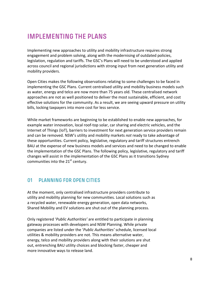## **IMPLEMENTING THE PLANS**

Implementing new approaches to utility and mobility infrastructure requires strong engagement and problem solving, along with the modernising of outdated policies, legislation, regulation and tariffs. The GSC's Plans will need to be understood and applied across council and regional jurisdictions with strong input from next generation utility and mobility providers.

Open Cities makes the following observations relating to some challenges to be faced in implementing the GSC Plans. Current centralised utility and mobility business models such as water, energy and telco are now more than 75 years old. These centralised network approaches are not as well positioned to deliver the most sustainable, efficient, and cost effective solutions for the community. As a result, we are seeing upward pressure on utility bills, locking taxpayers into more cost for less service.

While market frameworks are beginning to be established to enable new approaches, for example water innovation, local roof-top solar, car sharing and electric vehicles, and the Internet of Things (IoT), barriers to investment for next generation service providers remain and can be removed. NSW's utility and mobility markets *not* ready to take advantage of these opportunities. Current policy, legislative, regulatory and tariff structures entrench BAU at the expense of new business models and services and need to be changed to enable the implementation of the GSC Plans. The following policy, legislative, regulatory and tariff changes will assist in the implementation of the GSC Plans as it transitions Sydney communities into the  $21<sup>st</sup>$  century.

## **01 PLANNING FOR OPEN CITIES**

At the moment, only centralised infrastructure providers contribute to utility and mobility planning for new communities. Local solutions such as a recycled water, renewable energy generation, open data networks, Shared Mobility and EV solutions are shut out of the planning process.

Only registered '*Public Authorities'* are entitled to participate in planning gateway processes with developers and NSW Planning. While private companies are listed under the '*Public Authorities'* schedule, licensed local utilities & mobility providers are not. This means alternative water, energy, telco and mobility providers along with their solutions are shut out, entrenching BAU utility choices and blocking faster, cheaper and more innovative ways to release land.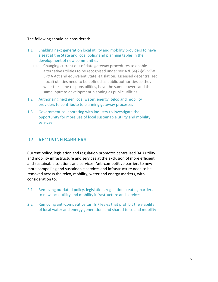#### The following should be considered:

- 1.1 Enabling next generation local utility and mobility providers to have a seat at the State and local policy and planning tables in the development of new communities
	- 1.1.1 Changing current out of date gateway procedures to enable alternative utilities to be recognised under sec 4 &  $56(2)(d)$  NSW EP&A Act and equivalent State legislation. Licensed decentralized (local) utilities need to be defined as public authorities so they wear the same responsibilities, have the same powers and the same input to development planning as public utilities.
- 1.2 Authorising next gen local water, energy, telco and mobility providers to contribute to planning gateway processes
- 1.3 Government collaborating with industry to investigate the opportunity for more use of local sustainable utility and mobility services

## **02 REMOVING BARRIERS**

Current policy, legislation and regulation promotes centralised BAU utility and mobility infrastructure and services at the exclusion of more efficient and sustainable solutions and services. Anti-competitive barriers to new more compelling and sustainable services and infrastructure need to be removed across the telco, mobility, water and energy markets, with consideration to:

- 2.1 Removing outdated policy, legislation, regulation creating barriers to new local utility and mobility infrastructure and services
- 2.2 Removing anti-competitive tariffs / levies that prohibit the viability of local water and energy generation, and shared telco and mobility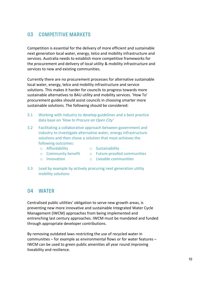## **03 COMPETITIVE MARKETS**

Competition is essential for the delivery of more efficient and sustainable next generation local water, energy, telco and mobility infrastructure and services. Australia needs to establish more competitive frameworks for the procurement and delivery of local utility & mobility infrastructure and services to new and existing communities.

Currently there are no procurement processes for alternative sustainable local water, energy, telco and mobility infrastructure and service solutions. This makes it harder for councils to progress towards more sustainable alternatives to BAU utility and mobility services. 'How To' procurement guides should assist councils in choosing smarter more sustainable solutions. The following should be considered:

- 3.1 Working with industry to develop guidelines and a best practice data base on 'How to Procure an Open City'
- 3.2 Facilitating a collaborative approach between government and industry to investigate alternative water, energy infrastructure solutions and then chose a solution that most achieves the following outcomes:
	- o Affordability
- o Sustainability
- o Community benefit o Future-proofed communities
- o Innovation

mobility solutions

- o Liveable communities
- 3.3 Lead by example by actively procuring next generation utility

## **04 WATER**

Centralised public utilities' obligation to serve new growth areas, is preventing new more innovative and sustainable Integrated Water Cycle Management (IWCM) approaches from being implemented and entrenching last century approaches. IWCM must be mandated and funded through appropriate developer contributions.

By removing outdated laws restricting the use of recycled water in communities  $-$  for example as environmental flows or for water features  $-$ IWCM can be used to green public amenities all year round improving liveability and resilience.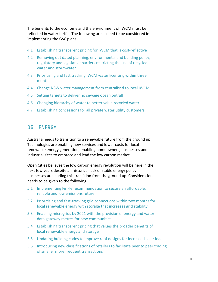The benefits to the economy and the environment of IWCM must be reflected in water tariffs. The following areas need to be considered in implementing the GSC plans.

- 4.1 Establishing transparent pricing for IWCM that is cost-reflective
- 4.2 Removing out dated planning, environmental and building policy, regulatory and legislative barriers restricting the use of recycled water and stormwater
- 4.3 Prioritising and fast tracking IWCM water licensing within three months
- 4.4 Change NSW water management from centralised to local IWCM
- 4.5 Setting targets to deliver no sewage ocean outfall
- 4.6 Changing hierarchy of water to better value recycled water
- 4.7 Establishing concessions for all private water utility customers

### **05 ENERGY**

Australia needs to transition to a renewable future from the ground up. Technologies are enabling new services and lower costs for local renewable energy generation, enabling homeowners, businesses and industrial sites to embrace and lead the low carbon market.

Open Cities believes the low carbon energy revolution will be here in the next few years despite an historical lack of stable energy policy: businesses are leading this transition from the ground up. Consideration needs to be given to the following:

- 5.1 Implementing Finkle recommendation to secure an affordable, reliable and low emissions future
- 5.2 Prioritising and fast-tracking grid connections within two months for local renewable energy with storage that increases grid stability
- 5.3 Enabling microgrids by 2021 with the provision of energy and water data gateway metres for new communities
- 5.4 Establishing transparent pricing that values the broader benefits of local renewable energy and storage
- 5.5 Updating building codes to improve roof designs for increased solar load
- 5.6 Introducing new classifications of retailers to facilitate peer to peer trading of smaller more frequent transactions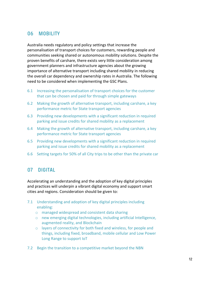## **06 MOBILITY**

Australia needs regulatory and policy settings that increase the personalisation of transport choices for customers, rewarding people and communities seeking shared or autonomous mobility solutions. Despite the proven benefits of carshare, there exists very little consideration among government planners and infrastructure agencies about the growing importance of alternative transport including shared mobility in reducing the overall car dependency and ownership rates in Australia. The following need to be considered when implementing the GSC Plans.

- 6.1 Increasing the personalisation of transport choices for the customer that can be chosen and paid for through simple gateways
- 6.2 Making the growth of alternative transport, including carshare, a key performance metric for State transport agencies
- 6.3 Providing new developments with a significant reduction in required parking and issue credits for shared mobility as a replacement
- 6.4 Making the growth of alternative transport, including carshare, a key performance metric for State transport agencies
- 6.5 Providing new developments with a significant reduction in required parking and issue credits for shared mobility as a replacement
- 6.6 Setting targets for 50% of all City trips to be other than the private car

## **07 DIGITAL**

Accelerating an understanding and the adoption of key digital principles and practices will underpin a vibrant digital economy and support smart cities and regions. Consideration should be given to:

- 7.1 Understanding and adoption of key digital principles including enabling:
	- $\circ$  managed widespread and consistent data sharing
	- $\circ$  new emerging digital technologies, including artificial Intelligence, augmented reality, and Blockchain
	- $\circ$  layers of connectivity for both fixed and wireless, for people and things, including fixed, broadband, mobile cellular and Low Power Long Range to support loT
- 7.2 Begin the transition to a competitive market beyond the NBN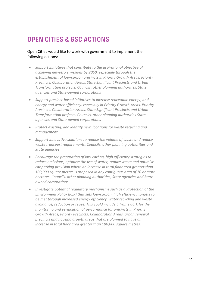# **OPEN CITIES & GSC ACTIONS**

Open Cities would like to work with government to implement the following actions:

- Support initiatives that contribute to the aspirational objective of achieving net-zero emissions by 2050, especially through the establishment of low-carbon precincts in Priority Growth Areas, Priority **Precincts, Collaboration Areas, State Significant Precincts and Urban** *Transformation projects. Councils, other planning authorities, State agencies and State-owned corporations*
- Support precinct-based initiatives to increase renewable energy, and energy and water efficiency, especially in Priority Growth Areas, Priority **Precincts, Collaboration Areas, State Significant Precincts and Urban Transformation projects. Councils, other planning authorities State** *agencies and State-owned corporations*
- Protect existing, and identify new, locations for waste recycling and *management.*
- Support innovative solutions to reduce the volume of waste and reduce waste transport requirements. Councils, other planning authorities and *State agencies*
- *Encourage the preparation of low-carbon, high efficiency strategies to reduce emissions, optimise the use of water, reduce waste and optimise car* parking provision where an increase in total floor area areater than 100,000 square metres is proposed in any contiguous area of 10 or more hectares. Councils, other planning authorities, State agencies and State*owned corporations*
- *Investigate potential regulatory mechanisms such as a Protection of the Environment Policy (PEP)* that sets low-carbon, high efficiency targets to be met through increased energy efficiency, water recycling and waste avoidance, reduction or reuse. This could include a framework for the *monitoring and verification of performance for precincts in Priority* Growth Areas, Priority Precincts, Collaboration Areas, urban renewal precincts and housing growth areas that are planned to have an *increase in total floor area greater than 100,000 square metres.*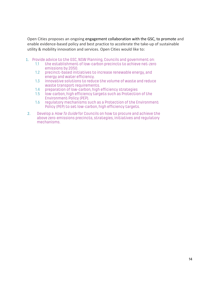Open Cities proposes an ongoing engagement collaboration with the GSC, to promote and enable evidence-based policy and best practice to accelerate the take-up of sustainable utility & mobility innovation and services. Open Cities would like to:

- 1. Provide advice to the GSC, NSW Planning, Councils and government on:
	- 1.1 the establishment of low-carbon precincts to achieve net-zero emissions by 2050.
	- 1.2 precinct-based initiatives to increase renewable energy, and energy and water efficiency.
	- 1.3 innovative solutions to reduce the volume of waste and reduce waste transport requirements.
	- 1.4 preparation of low-carbon, high efficiency strategies
	- 1.5 low-carbon, high efficiency targets such as Protection of the Environment Policy (PEP).
	- 1.6 regulatory mechanisms such as a Protection of the Environment Policy (PEP) to set low-carbon, high efficiency targets.
- 2. Develop a *How To Guide* for Councils on how to procure and achieve the above zero-emissions precincts, strategies, initiatives and regulatory mechanisms.